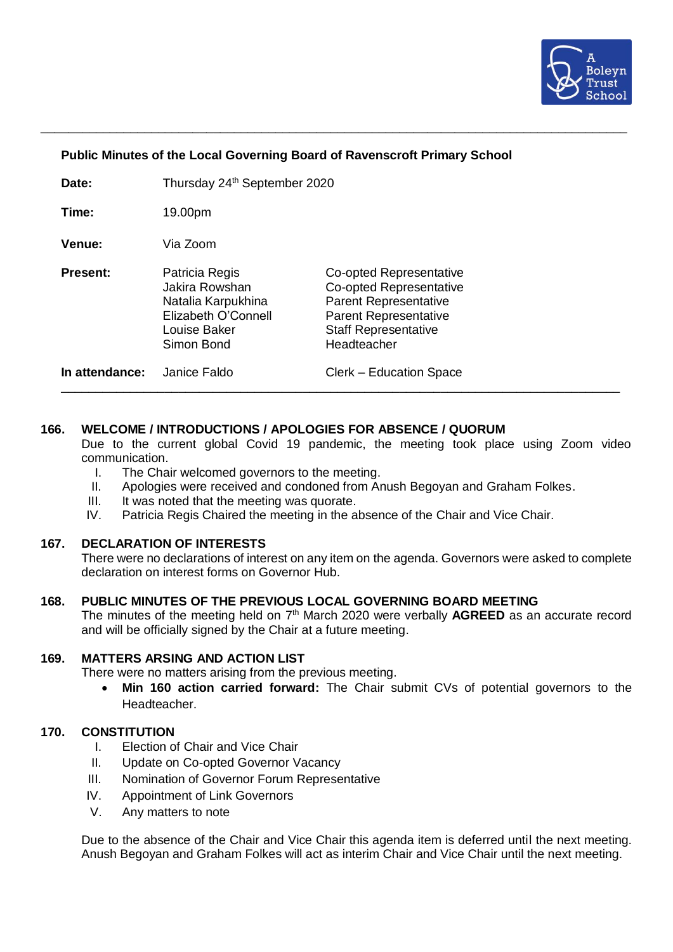

### **Public Minutes of the Local Governing Board of Ravenscroft Primary School**

\_\_\_\_\_\_\_\_\_\_\_\_\_\_\_\_\_\_\_\_\_\_\_\_\_\_\_\_\_\_\_\_\_\_\_\_\_\_\_\_\_\_\_\_\_\_\_\_\_\_\_\_\_\_\_\_\_\_\_\_\_\_\_\_\_\_\_\_\_\_\_\_\_\_\_\_\_\_\_\_\_\_\_\_\_

| In attendance:  | Janice Faldo                                                                                                | Clerk – Education Space                                                                                                                                                 |
|-----------------|-------------------------------------------------------------------------------------------------------------|-------------------------------------------------------------------------------------------------------------------------------------------------------------------------|
| <b>Present:</b> | Patricia Regis<br>Jakira Rowshan<br>Natalia Karpukhina<br>Elizabeth O'Connell<br>Louise Baker<br>Simon Bond | <b>Co-opted Representative</b><br><b>Co-opted Representative</b><br>Parent Representative<br><b>Parent Representative</b><br><b>Staff Representative</b><br>Headteacher |
| Venue:          | Via Zoom                                                                                                    |                                                                                                                                                                         |
| Time:           | 19.00pm                                                                                                     |                                                                                                                                                                         |
| Date:           | Thursday 24 <sup>th</sup> September 2020                                                                    |                                                                                                                                                                         |

### **166. WELCOME / INTRODUCTIONS / APOLOGIES FOR ABSENCE / QUORUM**

Due to the current global Covid 19 pandemic, the meeting took place using Zoom video communication.

- I. The Chair welcomed governors to the meeting.
- II. Apologies were received and condoned from Anush Begoyan and Graham Folkes.
- III. It was noted that the meeting was quorate.<br>IV. Patricia Regis Chaired the meeting in the a
- Patricia Regis Chaired the meeting in the absence of the Chair and Vice Chair.

#### **167. DECLARATION OF INTERESTS**

There were no declarations of interest on any item on the agenda. Governors were asked to complete declaration on interest forms on Governor Hub.

### **168. PUBLIC MINUTES OF THE PREVIOUS LOCAL GOVERNING BOARD MEETING**

The minutes of the meeting held on 7<sup>th</sup> March 2020 were verbally **AGREED** as an accurate record and will be officially signed by the Chair at a future meeting.

### **169. MATTERS ARSING AND ACTION LIST**

There were no matters arising from the previous meeting.

• **Min 160 action carried forward:** The Chair submit CVs of potential governors to the Headteacher.

### **170. CONSTITUTION**

- I. Election of Chair and Vice Chair
- II. Update on Co-opted Governor Vacancy
- III. Nomination of Governor Forum Representative
- IV. Appointment of Link Governors
- V. Any matters to note

Due to the absence of the Chair and Vice Chair this agenda item is deferred until the next meeting. Anush Begoyan and Graham Folkes will act as interim Chair and Vice Chair until the next meeting.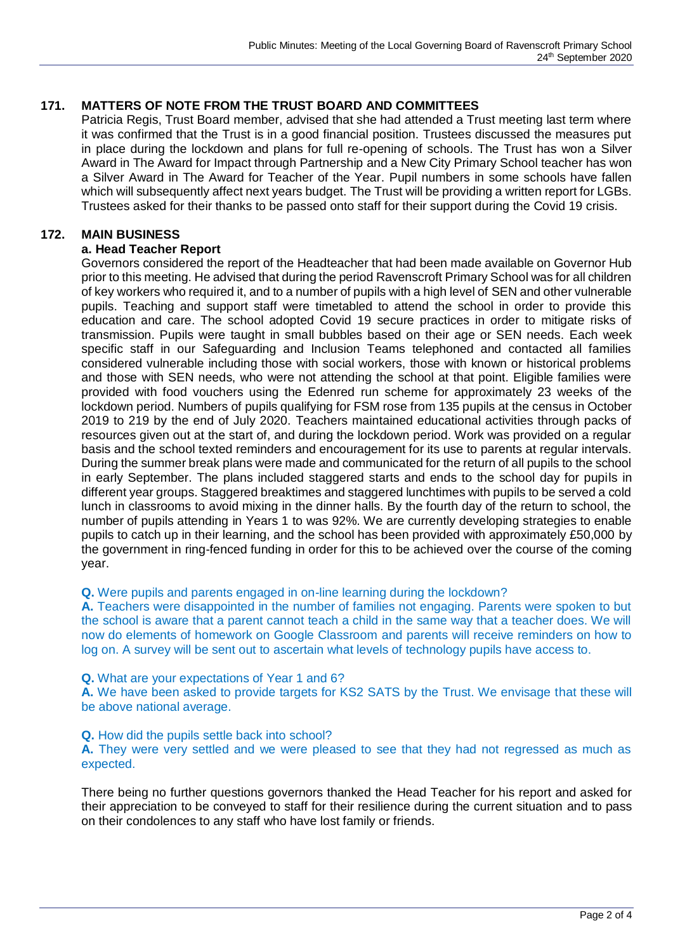# **171. MATTERS OF NOTE FROM THE TRUST BOARD AND COMMITTEES**

Patricia Regis, Trust Board member, advised that she had attended a Trust meeting last term where it was confirmed that the Trust is in a good financial position. Trustees discussed the measures put in place during the lockdown and plans for full re-opening of schools. The Trust has won a Silver Award in The Award for Impact through Partnership and a New City Primary School teacher has won a Silver Award in The Award for Teacher of the Year. Pupil numbers in some schools have fallen which will subsequently affect next years budget. The Trust will be providing a written report for LGBs. Trustees asked for their thanks to be passed onto staff for their support during the Covid 19 crisis.

# **172. MAIN BUSINESS**

# **a. Head Teacher Report**

Governors considered the report of the Headteacher that had been made available on Governor Hub prior to this meeting. He advised that during the period Ravenscroft Primary School was for all children of key workers who required it, and to a number of pupils with a high level of SEN and other vulnerable pupils. Teaching and support staff were timetabled to attend the school in order to provide this education and care. The school adopted Covid 19 secure practices in order to mitigate risks of transmission. Pupils were taught in small bubbles based on their age or SEN needs. Each week specific staff in our Safeguarding and Inclusion Teams telephoned and contacted all families considered vulnerable including those with social workers, those with known or historical problems and those with SEN needs, who were not attending the school at that point. Eligible families were provided with food vouchers using the Edenred run scheme for approximately 23 weeks of the lockdown period. Numbers of pupils qualifying for FSM rose from 135 pupils at the census in October 2019 to 219 by the end of July 2020. Teachers maintained educational activities through packs of resources given out at the start of, and during the lockdown period. Work was provided on a regular basis and the school texted reminders and encouragement for its use to parents at regular intervals. During the summer break plans were made and communicated for the return of all pupils to the school in early September. The plans included staggered starts and ends to the school day for pupils in different year groups. Staggered breaktimes and staggered lunchtimes with pupils to be served a cold lunch in classrooms to avoid mixing in the dinner halls. By the fourth day of the return to school, the number of pupils attending in Years 1 to was 92%. We are currently developing strategies to enable pupils to catch up in their learning, and the school has been provided with approximately £50,000 by the government in ring-fenced funding in order for this to be achieved over the course of the coming year.

#### **Q.** Were pupils and parents engaged in on-line learning during the lockdown?

**A.** Teachers were disappointed in the number of families not engaging. Parents were spoken to but the school is aware that a parent cannot teach a child in the same way that a teacher does. We will now do elements of homework on Google Classroom and parents will receive reminders on how to log on. A survey will be sent out to ascertain what levels of technology pupils have access to.

#### **Q.** What are your expectations of Year 1 and 6?

**A.** We have been asked to provide targets for KS2 SATS by the Trust. We envisage that these will be above national average.

#### **Q.** How did the pupils settle back into school?

**A.** They were very settled and we were pleased to see that they had not regressed as much as expected.

There being no further questions governors thanked the Head Teacher for his report and asked for their appreciation to be conveyed to staff for their resilience during the current situation and to pass on their condolences to any staff who have lost family or friends.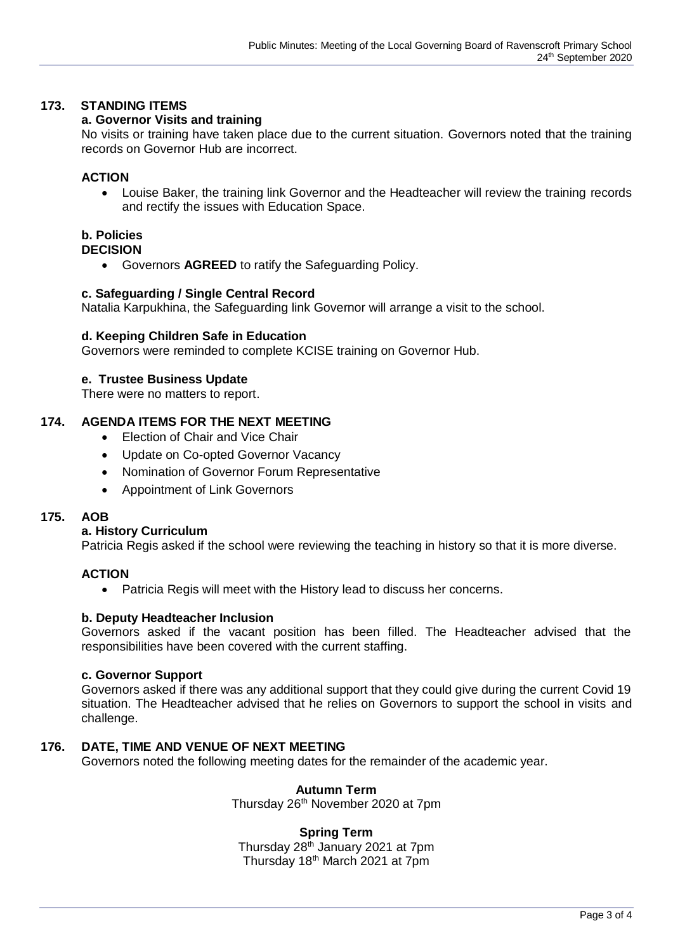# **173. STANDING ITEMS**

### **a. Governor Visits and training**

No visits or training have taken place due to the current situation. Governors noted that the training records on Governor Hub are incorrect.

### **ACTION**

• Louise Baker, the training link Governor and the Headteacher will review the training records and rectify the issues with Education Space.

# **b. Policies**

### **DECISION**

• Governors **AGREED** to ratify the Safeguarding Policy.

### **c. Safeguarding / Single Central Record**

Natalia Karpukhina, the Safeguarding link Governor will arrange a visit to the school.

### **d. Keeping Children Safe in Education**

Governors were reminded to complete KCISE training on Governor Hub.

### **e. Trustee Business Update**

There were no matters to report.

# **174. AGENDA ITEMS FOR THE NEXT MEETING**

- Election of Chair and Vice Chair
- Update on Co-opted Governor Vacancy
- Nomination of Governor Forum Representative
- Appointment of Link Governors

# **175. AOB**

### **a. History Curriculum**

Patricia Regis asked if the school were reviewing the teaching in history so that it is more diverse.

# **ACTION**

• Patricia Regis will meet with the History lead to discuss her concerns.

#### **b. Deputy Headteacher Inclusion**

Governors asked if the vacant position has been filled. The Headteacher advised that the responsibilities have been covered with the current staffing.

#### **c. Governor Support**

Governors asked if there was any additional support that they could give during the current Covid 19 situation. The Headteacher advised that he relies on Governors to support the school in visits and challenge.

# **176. DATE, TIME AND VENUE OF NEXT MEETING**

Governors noted the following meeting dates for the remainder of the academic year.

# **Autumn Term**

Thursday 26<sup>th</sup> November 2020 at 7pm

#### **Spring Term**

Thursday 28<sup>th</sup> January 2021 at 7pm Thursday 18<sup>th</sup> March 2021 at 7pm